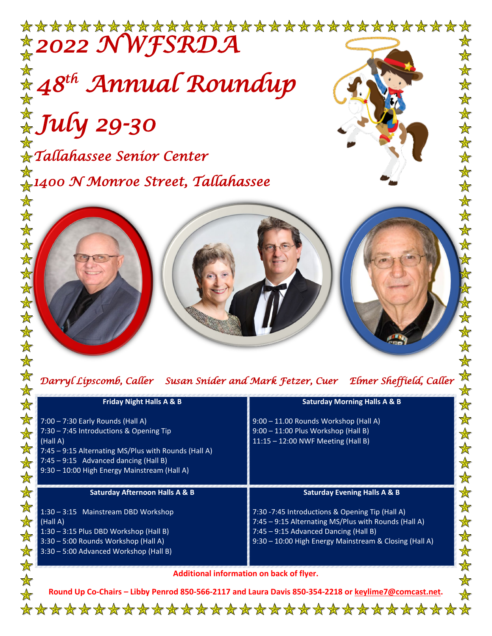

 $\frac{1}{\sqrt{2}}$ 

女女女女女女女女女女

| ******                        |                                                                                                                                                                             |                                                                                                                                                                                                            |
|-------------------------------|-----------------------------------------------------------------------------------------------------------------------------------------------------------------------------|------------------------------------------------------------------------------------------------------------------------------------------------------------------------------------------------------------|
|                               | Darryl Lipscomb, Caller Susan Snider and Mark Fetzer, Cuer Elmer Sheffield, Caller                                                                                          |                                                                                                                                                                                                            |
| $\color{red} \bigstar$        | <b>Friday Night Halls A &amp; B</b>                                                                                                                                         | <b>Saturday Morning Halls A &amp; B</b>                                                                                                                                                                    |
| $\frac{1}{\mathbb{X}}$<br>安女  | 7:00 - 7:30 Early Rounds (Hall A)<br>7:30 - 7:45 Introductions & Opening Tip                                                                                                | 9:00 - 11.00 Rounds Workshop (Hall A)<br>9:00 - 11:00 Plus Workshop (Hall B)                                                                                                                               |
| 安安                            | (Hall A)<br>7:45 - 9:15 Alternating MS/Plus with Rounds (Hall A)<br>$7:45 - 9:15$ Advanced dancing (Hall B)<br>9:30 - 10:00 High Energy Mainstream (Hall A)                 | 11:15 - 12:00 NWF Meeting (Hall B)                                                                                                                                                                         |
| $\frac{1}{\sqrt{2}}$          | <b>Saturday Afternoon Halls A &amp; B</b>                                                                                                                                   | <b>Saturday Evening Halls A &amp; B</b>                                                                                                                                                                    |
| $\frac{1}{\mathbb{X}}$<br>女女女 | 1:30 - 3:15 Mainstream DBD Workshop<br>(Hall A)<br>1:30 - 3:15 Plus DBD Workshop (Hall B)<br>3:30 - 5:00 Rounds Workshop (Hall A)<br>3:30 - 5:00 Advanced Workshop (Hall B) | 7:30 -7:45 Introductions & Opening Tip (Hall A)<br>7:45 - 9:15 Alternating MS/Plus with Rounds (Hall A)<br>7:45 - 9:15 Advanced Dancing (Hall B)<br>9:30 - 10:00 High Energy Mainstream & Closing (Hall A) |
|                               | Additional information on back of flyer.                                                                                                                                    |                                                                                                                                                                                                            |

**Round Up Co-Chairs – Libby Penrod 850-566-2117 and Laura Davis 850-354-2218 or [keylime7@comcast.net.](mailto:keylime7@comcast.net)**